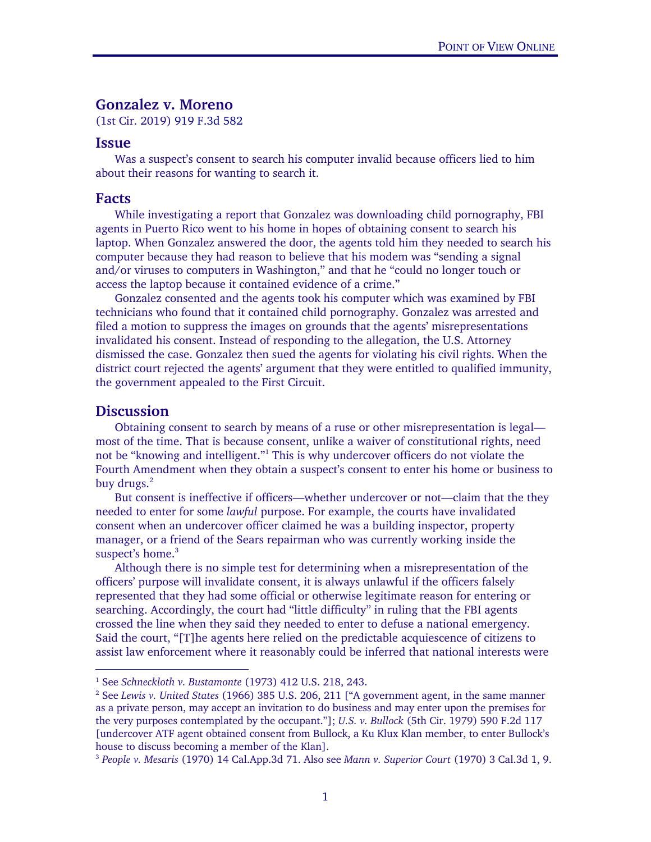## Gonzalez v. Moreno

(1st Cir. 2019) 919 F.3d 582

## Issue

Was a suspect's consent to search his computer invalid because officers lied to him about their reasons for wanting to search it.

## Facts

 While investigating a report that Gonzalez was downloading child pornography, FBI agents in Puerto Rico went to his home in hopes of obtaining consent to search his laptop. When Gonzalez answered the door, the agents told him they needed to search his computer because they had reason to believe that his modem was "sending a signal and/or viruses to computers in Washington," and that he "could no longer touch or access the laptop because it contained evidence of a crime."

Gonzalez consented and the agents took his computer which was examined by FBI technicians who found that it contained child pornography. Gonzalez was arrested and filed a motion to suppress the images on grounds that the agents' misrepresentations invalidated his consent. Instead of responding to the allegation, the U.S. Attorney dismissed the case. Gonzalez then sued the agents for violating his civil rights. When the district court rejected the agents' argument that they were entitled to qualified immunity, the government appealed to the First Circuit.

## **Discussion**

 $\overline{a}$ 

Obtaining consent to search by means of a ruse or other misrepresentation is legal most of the time. That is because consent, unlike a waiver of constitutional rights, need not be "knowing and intelligent."<sup>1</sup> This is why undercover officers do not violate the Fourth Amendment when they obtain a suspect's consent to enter his home or business to buy drugs.<sup>2</sup>

But consent is ineffective if officers—whether undercover or not—claim that the they needed to enter for some *lawful* purpose. For example, the courts have invalidated consent when an undercover officer claimed he was a building inspector, property manager, or a friend of the Sears repairman who was currently working inside the suspect's home.<sup>3</sup>

Although there is no simple test for determining when a misrepresentation of the officers' purpose will invalidate consent, it is always unlawful if the officers falsely represented that they had some official or otherwise legitimate reason for entering or searching. Accordingly, the court had "little difficulty" in ruling that the FBI agents crossed the line when they said they needed to enter to defuse a national emergency. Said the court, "[T]he agents here relied on the predictable acquiescence of citizens to assist law enforcement where it reasonably could be inferred that national interests were

<sup>&</sup>lt;sup>1</sup> See *Schneckloth v. Bustamonte* (1973) 412 U.S. 218, 243.<br><sup>2</sup> See Lewis v. United States (1966) 385 U.S. 206, 211 <sup>r.c</sup>A.gr

<sup>&</sup>lt;sup>2</sup> See *Lewis v. United States* (1966) 385 U.S. 206, 211 ["A government agent, in the same manner as a private person, may accept an invitation to do business and may enter upon the premises for the very purposes contemplated by the occupant."]; *U.S. v. Bullock* (5th Cir. 1979) 590 F.2d 117 [undercover ATF agent obtained consent from Bullock, a Ku Klux Klan member, to enter Bullock's house to discuss becoming a member of the Klan].

<sup>3</sup> *People v. Mesaris* (1970) 14 Cal.App.3d 71. Also see *Mann v. Superior Court* (1970) 3 Cal.3d 1, 9.